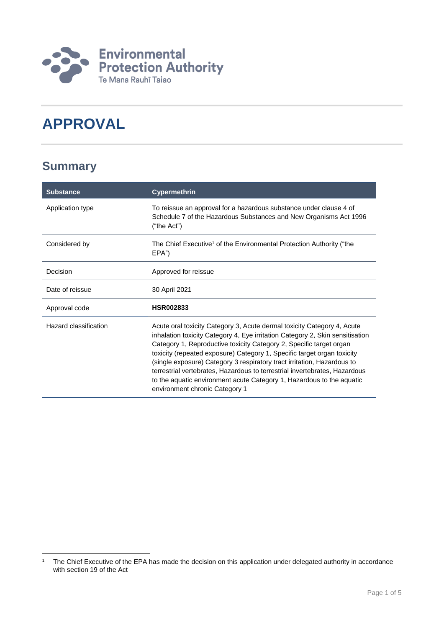

# **APPROVAL**

### **Summary**

1

| <b>Substance</b>      | <b>Cypermethrin</b>                                                                                                                                                                                                                                                                                                                                                                                                                                                                                                                                                            |
|-----------------------|--------------------------------------------------------------------------------------------------------------------------------------------------------------------------------------------------------------------------------------------------------------------------------------------------------------------------------------------------------------------------------------------------------------------------------------------------------------------------------------------------------------------------------------------------------------------------------|
| Application type      | To reissue an approval for a hazardous substance under clause 4 of<br>Schedule 7 of the Hazardous Substances and New Organisms Act 1996<br>("the Act")                                                                                                                                                                                                                                                                                                                                                                                                                         |
| Considered by         | The Chief Executive <sup>1</sup> of the Environmental Protection Authority ("the<br>EPA")                                                                                                                                                                                                                                                                                                                                                                                                                                                                                      |
| Decision              | Approved for reissue                                                                                                                                                                                                                                                                                                                                                                                                                                                                                                                                                           |
| Date of reissue       | 30 April 2021                                                                                                                                                                                                                                                                                                                                                                                                                                                                                                                                                                  |
| Approval code         | <b>HSR002833</b>                                                                                                                                                                                                                                                                                                                                                                                                                                                                                                                                                               |
| Hazard classification | Acute oral toxicity Category 3, Acute dermal toxicity Category 4, Acute<br>inhalation toxicity Category 4, Eye irritation Category 2, Skin sensitisation<br>Category 1, Reproductive toxicity Category 2, Specific target organ<br>toxicity (repeated exposure) Category 1, Specific target organ toxicity<br>(single exposure) Category 3 respiratory tract irritation, Hazardous to<br>terrestrial vertebrates, Hazardous to terrestrial invertebrates, Hazardous<br>to the aquatic environment acute Category 1, Hazardous to the aquatic<br>environment chronic Category 1 |

<sup>&</sup>lt;sup>1</sup> The Chief Executive of the EPA has made the decision on this application under delegated authority in accordance with section 19 of the Act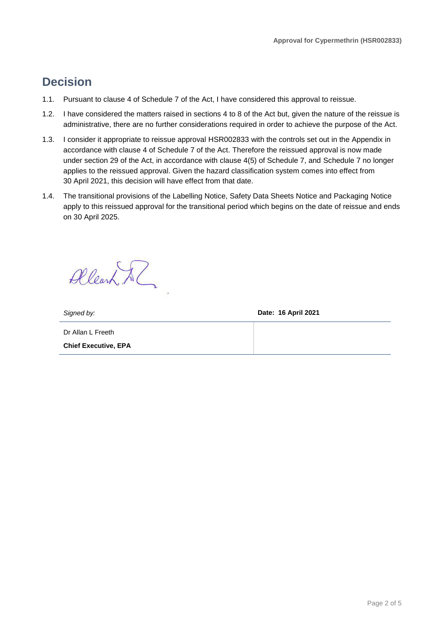### **Decision**

- 1.1. Pursuant to clause 4 of Schedule 7 of the Act, I have considered this approval to reissue.
- 1.2. I have considered the matters raised in sections 4 to 8 of the Act but, given the nature of the reissue is administrative, there are no further considerations required in order to achieve the purpose of the Act.
- 1.3. I consider it appropriate to reissue approval HSR002833 with the controls set out in the Appendix in accordance with clause 4 of Schedule 7 of the Act. Therefore the reissued approval is now made under section 29 of the Act, in accordance with clause 4(5) of Schedule 7, and Schedule 7 no longer applies to the reissued approval. Given the hazard classification system comes into effect from 30 April 2021, this decision will have effect from that date.
- 1.4. The transitional provisions of the Labelling Notice, Safety Data Sheets Notice and Packaging Notice apply to this reissued approval for the transitional period which begins on the date of reissue and ends on 30 April 2025.

Allearn Al

*Signed by:* **Date: 16 April 2021**

Dr Allan L Freeth **Chief Executive, EPA**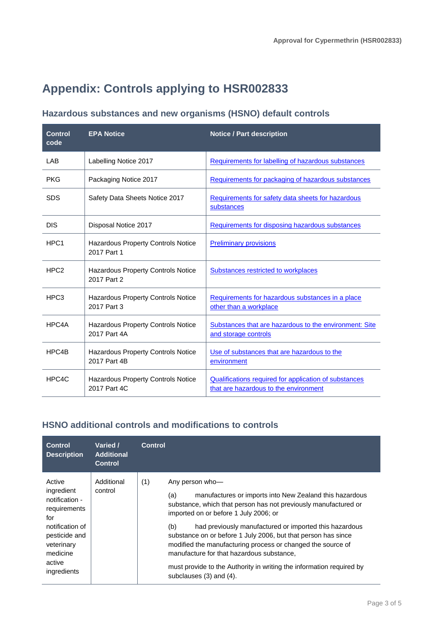## **Appendix: Controls applying to HSR002833**

#### **Hazardous substances and new organisms (HSNO) default controls**

| <b>Control</b><br>code | <b>EPA Notice</b>                                         | <b>Notice / Part description</b>                                                                      |
|------------------------|-----------------------------------------------------------|-------------------------------------------------------------------------------------------------------|
| <b>LAB</b>             | Labelling Notice 2017                                     | Requirements for labelling of hazardous substances                                                    |
| <b>PKG</b>             | Packaging Notice 2017                                     | Requirements for packaging of hazardous substances                                                    |
| <b>SDS</b>             | Safety Data Sheets Notice 2017                            | Requirements for safety data sheets for hazardous<br>substances                                       |
| <b>DIS</b>             | Disposal Notice 2017                                      | Requirements for disposing hazardous substances                                                       |
| HPC <sub>1</sub>       | <b>Hazardous Property Controls Notice</b><br>2017 Part 1  | <b>Preliminary provisions</b>                                                                         |
| HPC <sub>2</sub>       | <b>Hazardous Property Controls Notice</b><br>2017 Part 2  | Substances restricted to workplaces                                                                   |
| HPC <sub>3</sub>       | <b>Hazardous Property Controls Notice</b><br>2017 Part 3  | Requirements for hazardous substances in a place<br>other than a workplace                            |
| HPC4A                  | Hazardous Property Controls Notice<br>2017 Part 4A        | Substances that are hazardous to the environment: Site<br>and storage controls                        |
| HPC4B                  | <b>Hazardous Property Controls Notice</b><br>2017 Part 4B | Use of substances that are hazardous to the<br>environment                                            |
| HPC4C                  | <b>Hazardous Property Controls Notice</b><br>2017 Part 4C | <b>Qualifications required for application of substances</b><br>that are hazardous to the environment |

### **HSNO additional controls and modifications to controls**

| <b>Control</b><br><b>Description</b>                                                                                                                 | Varied /<br><b>Additional</b><br><b>Control</b> | <b>Control</b>                                                                                                                                                                                                                                                                                                                                                                                                                                                                                                                                        |
|------------------------------------------------------------------------------------------------------------------------------------------------------|-------------------------------------------------|-------------------------------------------------------------------------------------------------------------------------------------------------------------------------------------------------------------------------------------------------------------------------------------------------------------------------------------------------------------------------------------------------------------------------------------------------------------------------------------------------------------------------------------------------------|
| Active<br>ingredient<br>notification -<br>requirements<br>for<br>notification of<br>pesticide and<br>veterinary<br>medicine<br>active<br>ingredients | Additional<br>control                           | (1)<br>Any person who-<br>manufactures or imports into New Zealand this hazardous<br>(a)<br>substance, which that person has not previously manufactured or<br>imported on or before 1 July 2006; or<br>had previously manufactured or imported this hazardous<br>(b)<br>substance on or before 1 July 2006, but that person has since<br>modified the manufacturing process or changed the source of<br>manufacture for that hazardous substance.<br>must provide to the Authority in writing the information required by<br>subclauses (3) and (4). |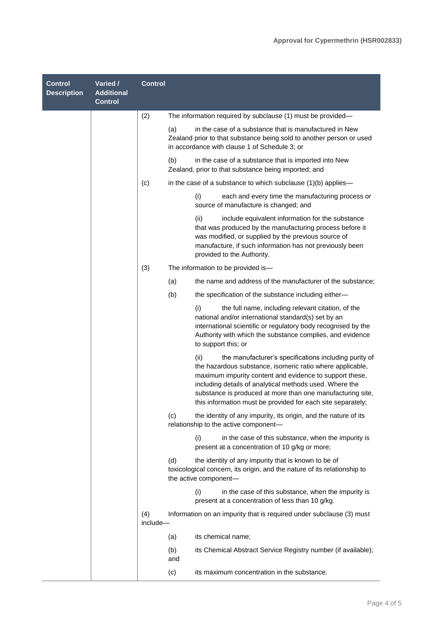| <b>Control</b><br><b>Description</b> | Varied /<br><b>Additional</b><br><b>Control</b> | <b>Control</b>  |                                                                                                                                                                                                                                                                                                                                                                               |
|--------------------------------------|-------------------------------------------------|-----------------|-------------------------------------------------------------------------------------------------------------------------------------------------------------------------------------------------------------------------------------------------------------------------------------------------------------------------------------------------------------------------------|
|                                      |                                                 | (2)             | The information required by subclause (1) must be provided—                                                                                                                                                                                                                                                                                                                   |
|                                      |                                                 |                 | in the case of a substance that is manufactured in New<br>(a)<br>Zealand prior to that substance being sold to another person or used<br>in accordance with clause 1 of Schedule 3; or                                                                                                                                                                                        |
|                                      |                                                 |                 | (b)<br>in the case of a substance that is imported into New<br>Zealand, prior to that substance being imported; and                                                                                                                                                                                                                                                           |
|                                      |                                                 | (c)             | in the case of a substance to which subclause $(1)(b)$ applies—                                                                                                                                                                                                                                                                                                               |
|                                      |                                                 |                 | (i)<br>each and every time the manufacturing process or<br>source of manufacture is changed; and                                                                                                                                                                                                                                                                              |
|                                      |                                                 |                 | (ii)<br>include equivalent information for the substance<br>that was produced by the manufacturing process before it<br>was modified, or supplied by the previous source of<br>manufacture, if such information has not previously been<br>provided to the Authority.                                                                                                         |
|                                      |                                                 | (3)             | The information to be provided is-                                                                                                                                                                                                                                                                                                                                            |
|                                      |                                                 |                 | (a)<br>the name and address of the manufacturer of the substance;                                                                                                                                                                                                                                                                                                             |
|                                      |                                                 |                 | (b)<br>the specification of the substance including either-                                                                                                                                                                                                                                                                                                                   |
|                                      |                                                 |                 | (i)<br>the full name, including relevant citation, of the<br>national and/or international standard(s) set by an<br>international scientific or regulatory body recognised by the<br>Authority with which the substance complies, and evidence<br>to support this; or                                                                                                         |
|                                      |                                                 |                 | (ii)<br>the manufacturer's specifications including purity of<br>the hazardous substance, isomeric ratio where applicable,<br>maximum impurity content and evidence to support these,<br>including details of analytical methods used. Where the<br>substance is produced at more than one manufacturing site,<br>this information must be provided for each site separately; |
|                                      |                                                 |                 | (c)<br>the identity of any impurity, its origin, and the nature of its<br>relationship to the active component-                                                                                                                                                                                                                                                               |
|                                      |                                                 |                 | (i)<br>in the case of this substance, when the impurity is<br>present at a concentration of 10 g/kg or more;                                                                                                                                                                                                                                                                  |
|                                      |                                                 |                 | (d)<br>the identity of any impurity that is known to be of<br>toxicological concern, its origin, and the nature of its relationship to<br>the active component-                                                                                                                                                                                                               |
|                                      |                                                 |                 | (i)<br>in the case of this substance, when the impurity is<br>present at a concentration of less than 10 g/kg.                                                                                                                                                                                                                                                                |
|                                      |                                                 | (4)<br>include- | Information on an impurity that is required under subclause (3) must                                                                                                                                                                                                                                                                                                          |
|                                      |                                                 |                 | its chemical name;<br>(a)                                                                                                                                                                                                                                                                                                                                                     |
|                                      |                                                 |                 | its Chemical Abstract Service Registry number (if available);<br>(b)<br>and                                                                                                                                                                                                                                                                                                   |
|                                      |                                                 |                 | (c)<br>its maximum concentration in the substance.                                                                                                                                                                                                                                                                                                                            |